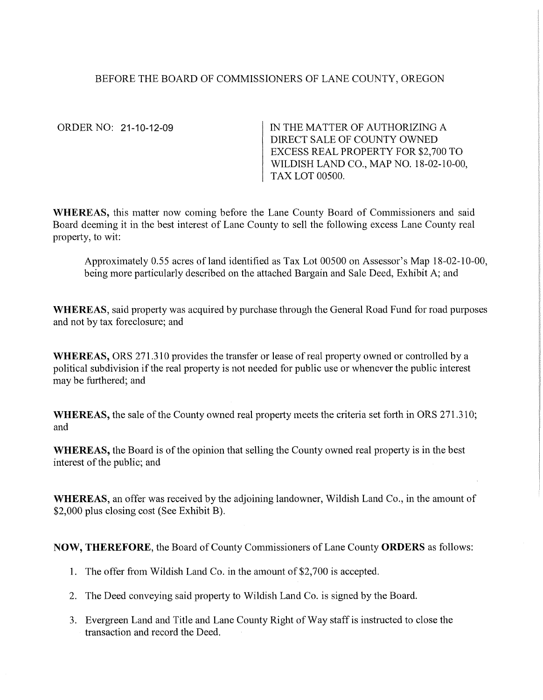# BEFORE THE BOARD OF COMMISSIONERS OF LANE COUNTY, OREGON

ORDER NO: 21-10-12-09

IN THE MATTER OF AUTHORIZING A DIRECT SALE OF COUNTY OWNED EXCESS REAL PROPERTY FOR \$2,700 TO WILDISH LAND CO., MAP NO. 18-02-10-00, TAX LOT 00500.

WHEREAS, this matter now coming before the Lane County Board of Commissioners and said Board deeming it in the best interest of Lane County to sell the following excess Lane County real property, to wit:

Approximately 0.55 acres ofland identified as Tax Lot 00500 on Assessor's Map 18-02-10-00, being more particularly described on the attached Bargain and Sale Deed, Exhibit A; and

**WHEREAS,** said property was acquired by purchase through the General Road Fund for road purposes and not by tax foreclosure; and

**WHEREAS,** ORS 271.310 provides the transfer or lease of real property owned or controlled by a political subdivision if the real property is not needed for public use or whenever the public interest may be furthered; and

**WHEREAS,** the sale of the County owned real property meets the criteria set forth in ORS 271.31 O; and

**WHEREAS,** the Board is of the opinion that selling the County owned real property is in the best interest of the public; and

**WHEREAS,** an offer was received by the adjoining landowner, Wildish Land Co., in the amount of \$2,000 plus closing cost (See Exhibit B).

**NOW, THEREFORE,** the Board of County Commissioners of Lane County **ORDERS** as follows:

- 1. The offer from Wildish Land Co. in the amount of \$2,700 is accepted.
- 2. The Deed conveying said property to Wildish Land Co. is signed by the Board.
- 3. Evergreen Land and Title and Lane County Right of Way staff is instructed to close the transaction and record the Deed.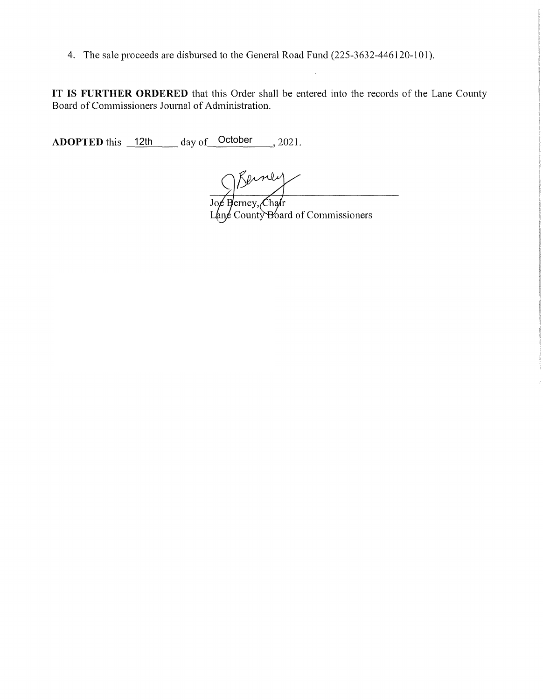4. The sale proceeds are disbursed to the General Road Fund (225-3632-446120-101).

**IT IS FURTHER ORDERED** that this Order shall be entered into the records of the Lane County Board of Commissioners Journal of Administration.

**ADOPTED** this  $\frac{12\text{th}}{\text{atm}}$  day of  $\frac{\text{October}}{\text{atm}}$ , 2021.

Joe Berney, Chair Lane County Board of Commissioners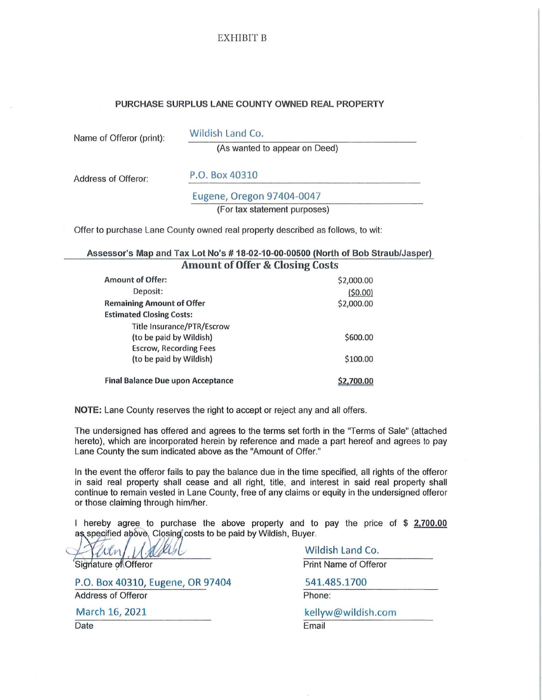## EXHIBIT B

#### PURCHASE SURPLUS LANE COUNTY OWNED REAL PROPERTY

|  | Name of Offeror (print): |  |
|--|--------------------------|--|
|  |                          |  |

Wildish Land Co.

(As wanted to appear on Deed)

Address of Offeror: P.O. Box 40310

Eugene, Oregon 97404-0047

(For tax statement purposes)

Offer to purchase Lane County owned real property described as follows, to wit:

### Assessor's Map and Tax Lot No's # 18-02-10-00-00500 (North of Bob Straub/Jasper) Amount of Offer & Closing Costs

| <b>Amount of Offer:</b>                  | \$2,000.00 |
|------------------------------------------|------------|
| Deposit:                                 | (50.00)    |
| <b>Remaining Amount of Offer</b>         | \$2,000.00 |
| <b>Estimated Closing Costs:</b>          |            |
| <b>Title Insurance/PTR/Escrow</b>        |            |
| (to be paid by Wildish)                  | \$600.00   |
| <b>Escrow, Recording Fees</b>            |            |
| (to be paid by Wildish)                  | \$100.00   |
|                                          |            |
| <b>Final Balance Due upon Acceptance</b> | \$2,700.00 |

NOTE: Lane County reserves the right to accept or reject any and all offers.

The undersigned has offered and agrees to the terms set forth in the "Terms of Sale" (attached hereto), which are incorporated herein by reference and made a part hereof and agrees to pay Lane County the sum indicated above as the "Amount of Offer."

In the event the offeror fails to pay the balance due in the time specified, all rights of the offeror in said real property shall cease and all right, title, and interest in said real property shall continue to remain vested in Lane County, free of any claims or equity in the undersigned offeror or those claiming through him/her.

I hereby agree to purchase the above property and to pay the price of  $$2,700.00$ as specified above, Closing costs to be paid by Wildish, Buyer.

alin

Signature of Offeror

P.O. Box 40310, Eugene, OR 97404

Address of Offeror

March 16, 2021

Date

Wildish Land Co.

Print Name of Offeror

541.485.1700

Phone:

kellyw@wildish.com

Email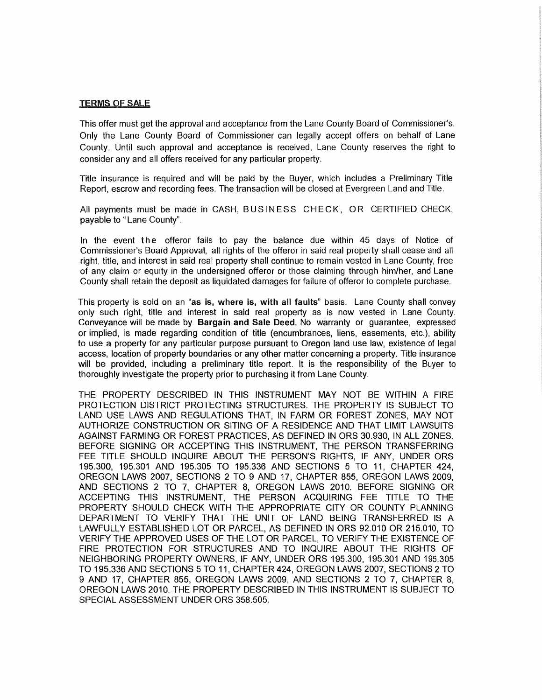#### TERMS OF SALE

This offer must get the approval and acceptance from the Lane County Board of Commissioner's. Only the Lane County Board of Commissioner can legally accept offers on behalf of Lane County. Until such approval and acceptance is received, Lane County reserves the right to consider any and all offers received for any particular property.

Title insurance is required and will be paid by the Buyer, which includes a Preliminary Title Report, escrow and recording fees. The transaction will be closed at Evergreen Land and Title.

All payments must be made in CASH, BUSINESS CHECK, OR CERTIFIED CHECK, payable to "Lane County".

In the event the offeror fails to pay the balance due within 45 days of Notice of Commissioner's Board Approval, all rights of the offeror in said real property shall cease and all right, title, and interest in said real property shall continue to remain vested in Lane County, free of any claim or equity in the undersigned offerer or those claiming through him/her, and Lane County shall retain the deposit as liquidated damages for failure of offerer to complete purchase.

This property is sold on an "as is, where is, with all faults" basis. Lane County shall convey only such right, title and interest in said real property as is now vested in Lane County. Conveyance will be made by Bargain and Sale Deed. No warranty or guarantee, expressed or implied, is made regarding condition of title (encumbrances, liens, easements, etc.), ability to use a property for any particular purpose pursuant to Oregon land use law, existence of legal access, location of property boundaries or any other matter concerning a property. Title insurance will be provided, including a preliminary title report. It is the responsibility of the Buyer to thoroughly investigate the property prior to purchasing it from Lane County.

THE PROPERTY DESCRIBED IN THIS INSTRUMENT MAY NOT BE WITHIN A FIRE PROTECTION DISTRICT PROTECTING STRUCTURES. THE PROPERTY IS SUBJECT TO LAND USE LAWS AND REGULATIONS THAT, IN FARM OR FOREST ZONES, MAY NOT AUTHORIZE CONSTRUCTION OR SITING OF A RESIDENCE AND THAT LIMIT LAWSUITS AGAINST FARMING OR FOREST PRACTICES, AS DEFINED IN ORS 30.930, IN ALL ZONES. BEFORE SIGNING OR ACCEPTING THIS INSTRUMENT, THE PERSON TRANSFERRING FEE TITLE SHOULD INQUIRE ABOUT THE PERSON'S RIGHTS, IF ANY, UNDER ORS 195.300, 195.301 AND 195.305 TO 195.336 AND SECTIONS 5 TO 11, CHAPTER 424, OREGON LAWS 2007, SECTIONS 2 TO 9 AND 17, CHAPTER 855, OREGON LAWS 2009, AND SECTIONS 2 TO 7, CHAPTER 8, OREGON LAWS 2010. BEFORE SIGNING OR ACCEPTING THIS INSTRUMENT, THE PERSON ACQUIRING FEE TITLE TO THE PROPERTY SHOULD CHECK WITH THE APPROPRIATE CITY OR COUNTY PLANNING DEPARTMENT TO VERIFY THAT THE UNIT OF LAND BEING TRANSFERRED IS A LAWFULLY ESTABLISHED LOT OR PARCEL, AS DEFINED IN ORS 92.010 OR 215.010, TO VERIFY THE APPROVED USES OF THE LOT OR PARCEL, TO VERIFY THE EXISTENCE OF FIRE PROTECTION FOR STRUCTURES AND TO INQUIRE ABOUT THE RIGHTS OF NEIGHBORING PROPERTY OWNERS, IF ANY, UNDER ORS 195.300, 195.301 AND 195.305 TO 195.336 AND SECTIONS 5 TO 11, CHAPTER 424, OREGON LAWS 2007, SECTIONS 2 TO 9 AND 17, CHAPTER 855, OREGON LAWS 2009, AND SECTIONS 2 TO 7, CHAPTER 8, OREGON LAWS 2010. THE PROPERTY DESCRIBED IN THIS INSTRUMENT IS SUBJECT TO SPECIAL ASSESSMENT UNDER ORS 358.505.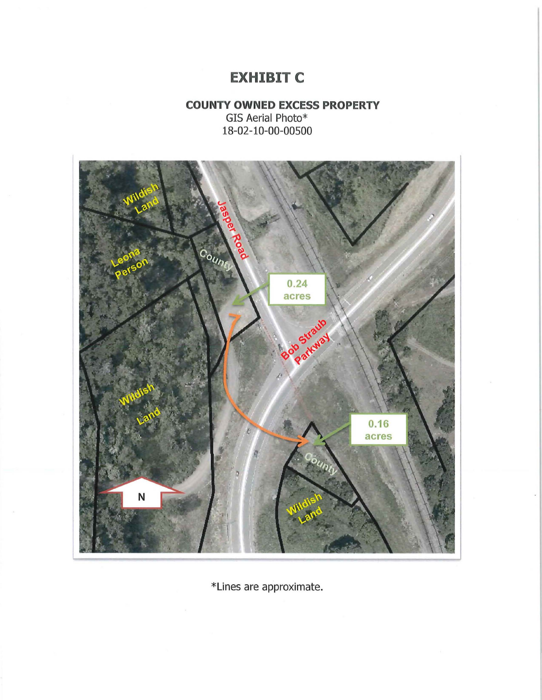# **EXHIBIT C**

# **COUNTY OWNED EXCESS PROPERTY**  GIS Aerial Photo\* 18-02-10-00-00500



\*Lines are approximate.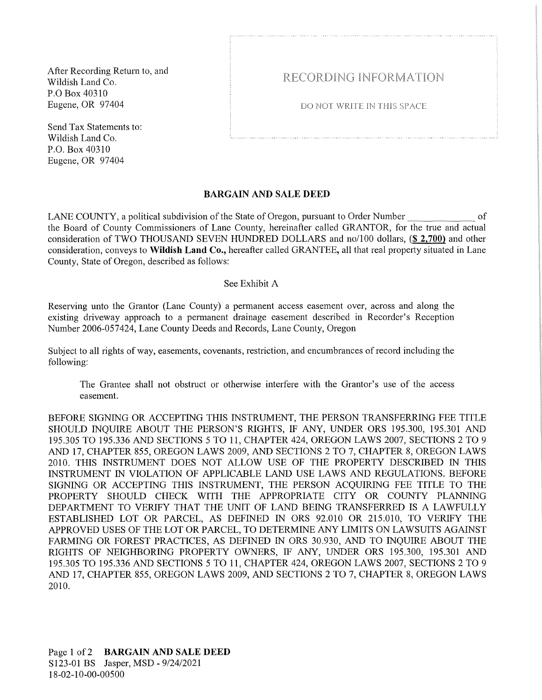After Recording Return to, and Wildish Land Co. P.O Box 40310 Eugene, OR 97404

Send Tax Statements to: Wildish Land Co. P.O. Box 40310 Eugene, OR 97404

# RECORDING INFORMATION

DO NOT WRITE IN THIS SPACE

## BARGAIN AND SALE DEED

LANE COUNTY, a political subdivision of the State of Oregon, pursuant to Order Number of the Board of County Commissioners of Lane County, hereinafter called GRANTOR, for the true and actual consideration of TWO THOUSAND SEVEN HUNDRED DOLLARS and no/100 dollars, (\$ 2,700) and other consideration, conveys to Wildish Land Co., hereafter called GRANTEE, all that real property situated in Lane County, State of Oregon, described as follows:

### See Exhibit A

Reserving unto the Grantor (Lane County) a permanent access easement over, across and along the existing driveway approach to a permanent drainage easement described in Recorder's Reception Number 2006-057424, Lane County Deeds and Records, Lane County, Oregon

Subject to all rights of way, easements, covenants, restriction, and encumbrances of record including the following:

The Grantee shall not obstruct or otherwise interfere with the Grantor's use of the access easement.

BEFORE SIGNING OR ACCEPTING THIS INSTRUMENT, THE PERSON TRANSFERRING FEE TITLE SHOULD INQUIRE ABOUT THE PERSON'S RIGHTS, IF ANY, UNDER ORS 195.300, 195.301 AND 195.305 TO 195.336 AND SECTIONS 5 TO 11, CHAPTER 424, OREGON LAWS 2007, SECTIONS 2 TO 9 AND 17, CHAPTER 855, OREGON LAWS 2009, AND SECTIONS 2 TO 7, CHAPTER 8, OREGON LAWS 2010. THIS INSTRUMENT DOES NOT ALLOW USE OF THE PROPERTY DESCRIBED IN THIS INSTRUMENT IN VIOLATION OF APPLICABLE LAND USE LAWS AND REGULATIONS. BEFORE SIGNING OR ACCEPTING THIS INSTRUMENT, THE PERSON ACQUIRING FEE TITLE TO THE PROPERTY SHOULD CHECK WITH THE APPROPRIATE CITY OR COUNTY PLANNING DEPARTMENT TO VERIFY THAT THE UNIT OF LAND BEING TRANSFERRED IS A LAWFULLY ESTABLISHED LOT OR PARCEL, AS DEFINED IN ORS 92.010 OR 215.010, TO VERIFY THE APPROVED USES OF THE LOT OR PARCEL, TO DETERMINE ANY LIMITS ON LAWSUITS AGAINST FARMING OR FOREST PRACTICES, AS DEFINED IN ORS 30.930, AND TO INQUIRE ABOUT THE RIGHTS OF NEIGHBORING PROPERTY OWNERS, IF ANY, UNDER ORS 195.300, 195.301 AND 195 .305 TO 195 .336 AND SECTIONS 5 TO 11, CHAPTER 424, OREGON LAWS 2007, SECTIONS 2 TO 9 AND 17, CHAPTER 855, OREGON LAWS 2009, AND SECTIONS 2 TO 7, CHAPTER 8, OREGON LAWS 2010.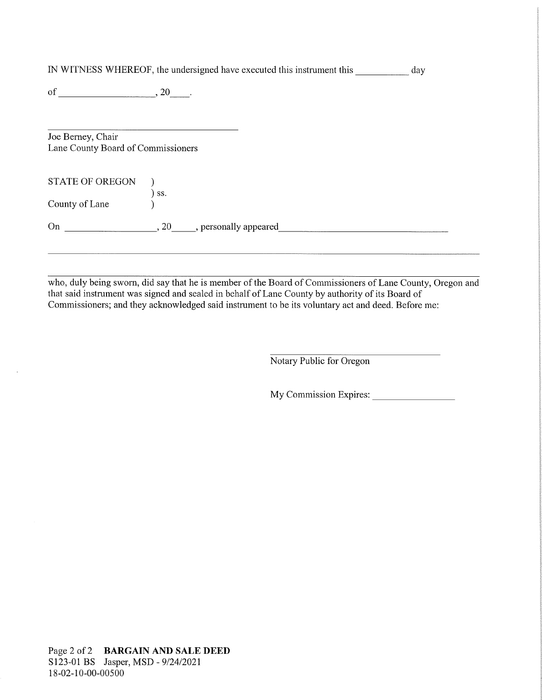| IN WITNESS WHEREOF, the undersigned have executed this instrument this | dav |
|------------------------------------------------------------------------|-----|
|                                                                        |     |

of  $\qquad \qquad , 20$  .

Joe Berney, Chair Lane County Board of Commissioners

| STATE OF OREGON<br>County of Lane | SS.             |                       |  |  |
|-----------------------------------|-----------------|-----------------------|--|--|
| On                                | 20 <sub>1</sub> | , personally appeared |  |  |

who, duly being sworn, did say that he is member of the Board of Commissioners of Lane County, Oregon and that said instrument was signed and sealed in behalf of Lane County by authority of its Board of Commissioners; and they acknowledged said instrument to be its voluntary act and deed. Before me:

Notary Public for Oregon

My Commission Expires: \_\_\_\_\_\_\_ \_